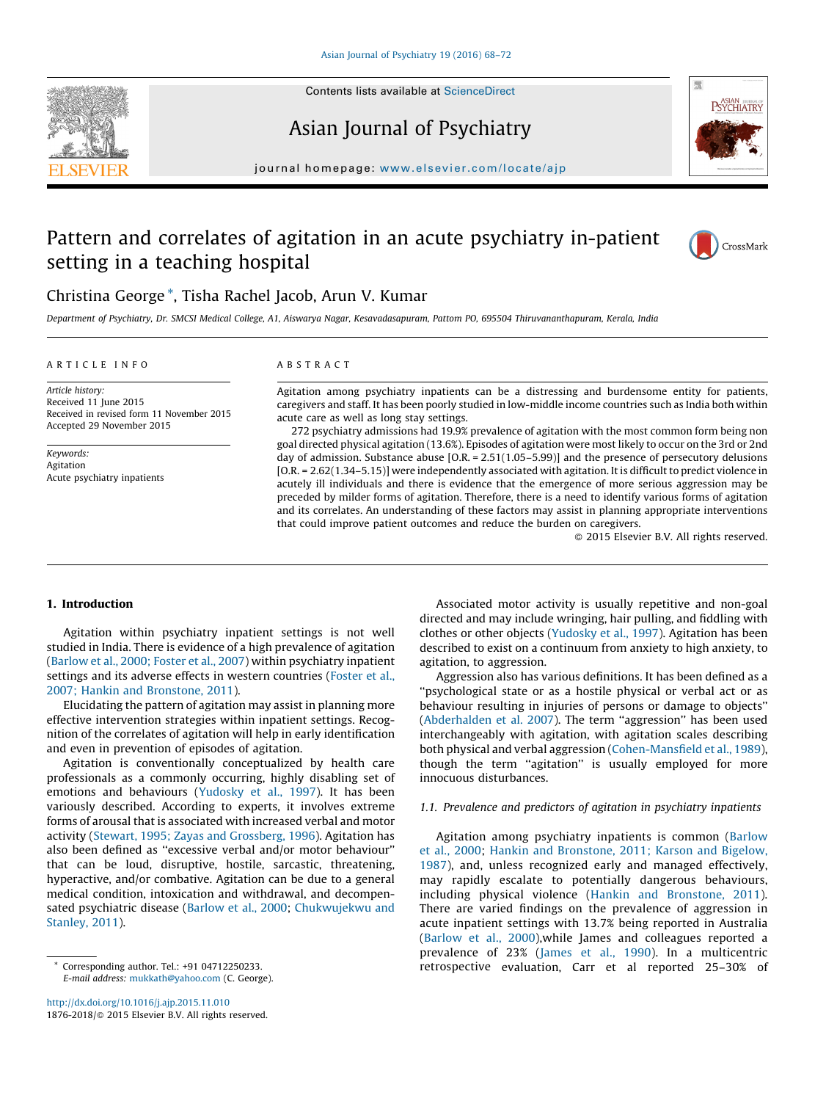





# Asian Journal of Psychiatry

journal homepage: <www.elsevier.com/locate/ajp>

## Pattern and correlates of agitation in an acute psychiatry in-patient setting in a teaching hospital



### Christina George \*, Tisha Rachel Jacob, Arun V. Kumar

Department of Psychiatry, Dr. SMCSI Medical College, A1, Aiswarya Nagar, Kesavadasapuram, Pattom PO, 695504 Thiruvananthapuram, Kerala, India

#### A R T I C L E I N F O

#### A B S T R A C T

Article history: Received 11 June 2015 Received in revised form 11 November 2015 Accepted 29 November 2015

Keywords: Agitation Acute psychiatry inpatients Agitation among psychiatry inpatients can be a distressing and burdensome entity for patients, caregivers and staff. It has been poorly studied in low-middle income countries such as India both within acute care as well as long stay settings.

272 psychiatry admissions had 19.9% prevalence of agitation with the most common form being non goal directed physical agitation (13.6%). Episodes of agitation were most likely to occur on the 3rd or 2nd day of admission. Substance abuse [O.R. = 2.51(1.05–5.99)] and the presence of persecutory delusions [O.R. = 2.62(1.34-5.15)] were independently associated with agitation. It is difficult to predict violence in acutely ill individuals and there is evidence that the emergence of more serious aggression may be preceded by milder forms of agitation. Therefore, there is a need to identify various forms of agitation and its correlates. An understanding of these factors may assist in planning appropriate interventions that could improve patient outcomes and reduce the burden on caregivers.

- 2015 Elsevier B.V. All rights reserved.

#### 1. Introduction

Agitation within psychiatry inpatient settings is not well studied in India. There is evidence of a high prevalence of agitation ([Barlow](#page--1-0) et al., 2000; Foster et al., 2007) within psychiatry inpatient settings and its adverse effects in western countries [\(Foster](#page--1-0) et al., 2007; Hankin and [Bronstone,](#page--1-0) 2011).

Elucidating the pattern of agitation may assist in planning more effective intervention strategies within inpatient settings. Recognition of the correlates of agitation will help in early identification and even in prevention of episodes of agitation.

Agitation is conventionally conceptualized by health care professionals as a commonly occurring, highly disabling set of emotions and behaviours [\(Yudosky](#page--1-0) et al., 1997). It has been variously described. According to experts, it involves extreme forms of arousal that is associated with increased verbal and motor activity (Stewart, 1995; Zayas and [Grossberg,](#page--1-0) 1996). Agitation has also been defined as ''excessive verbal and/or motor behaviour'' that can be loud, disruptive, hostile, sarcastic, threatening, hyperactive, and/or combative. Agitation can be due to a general medical condition, intoxication and withdrawal, and decompensated psychiatric disease ([Barlow](#page--1-0) et al., 2000; [Chukwujekwu](#page--1-0) and [Stanley,](#page--1-0) 2011).

<http://dx.doi.org/10.1016/j.ajp.2015.11.010> 1876-2018/© 2015 Elsevier B.V. All rights reserved.

Associated motor activity is usually repetitive and non-goal directed and may include wringing, hair pulling, and fiddling with clothes or other objects [\(Yudosky](#page--1-0) et al., 1997). Agitation has been described to exist on a continuum from anxiety to high anxiety, to agitation, to aggression.

Aggression also has various definitions. It has been defined as a ''psychological state or as a hostile physical or verbal act or as behaviour resulting in injuries of persons or damage to objects'' ([Abderhalden](#page--1-0) et al. 2007). The term ''aggression'' has been used interchangeably with agitation, with agitation scales describing both physical and verbal aggression ([Cohen-Mansfield](#page--1-0) et al., 1989), though the term "agitation" is usually employed for more innocuous disturbances.

#### 1.1. Prevalence and predictors of agitation in psychiatry inpatients

Agitation among psychiatry inpatients is common [\(Barlow](#page--1-0) et al., [2000](#page--1-0); Hankin and [Bronstone,](#page--1-0) 2011; Karson and Bigelow, [1987](#page--1-0)), and, unless recognized early and managed effectively, may rapidly escalate to potentially dangerous behaviours, including physical violence (Hankin and [Bronstone,](#page--1-0) 2011). There are varied findings on the prevalence of aggression in acute inpatient settings with 13.7% being reported in Australia ([Barlow](#page--1-0) et al., 2000),while James and colleagues reported a prevalence of 23% ([James](#page--1-0) et al., 1990). In a multicentric retrospective evaluation, Carr et al reported 25–30% of

<sup>\*</sup> Corresponding author. Tel.: +91 04712250233. E-mail address: [mukkath@yahoo.com](mailto:mukkath@yahoo.com) (C. George).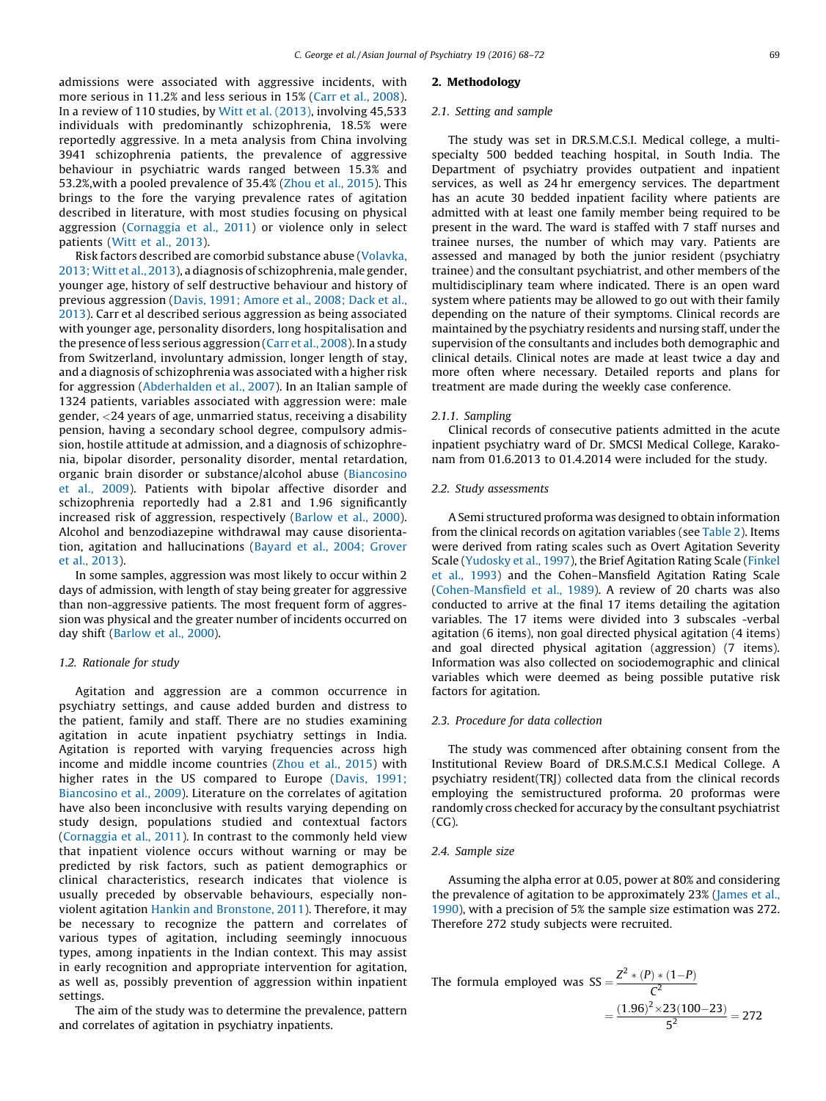admissions were associated with aggressive incidents, with more serious in 11.2% and less serious in 15% (Carr et al., [2008](#page--1-0)). In a review of 110 studies, by Witt et al. [\(2013\)](#page--1-0), involving 45,533 individuals with predominantly schizophrenia, 18.5% were reportedly aggressive. In a meta analysis from China involving 3941 schizophrenia patients, the prevalence of aggressive behaviour in psychiatric wards ranged between 15.3% and 53.2%,with a pooled prevalence of 35.4% (Zhou et al., [2015\)](#page--1-0). This brings to the fore the varying prevalence rates of agitation described in literature, with most studies focusing on physical aggression [\(Cornaggia](#page--1-0) et al., 2011) or violence only in select patients (Witt et al., [2013](#page--1-0)).

Risk factors described are comorbid substance abuse ([Volavka,](#page--1-0) [2013;](#page--1-0) Witt et al., 2013), a diagnosis of schizophrenia, male gender, younger age, history of self destructive behaviour and history of previous aggression (Davis, 1991; [Amore](#page--1-0) et al., 2008; Dack et al., [2013](#page--1-0)). Carr et al described serious aggression as being associated with younger age, personality disorders, long hospitalisation and the presence ofless serious aggression (Carr et al., [2008\)](#page--1-0). In a study from Switzerland, involuntary admission, longer length of stay, and a diagnosis of schizophrenia was associated with a higher risk for aggression [\(Abderhalden](#page--1-0) et al., 2007). In an Italian sample of 1324 patients, variables associated with aggression were: male gender, <24 years of age, unmarried status, receiving a disability pension, having a secondary school degree, compulsory admission, hostile attitude at admission, and a diagnosis of schizophrenia, bipolar disorder, personality disorder, mental retardation, organic brain disorder or substance/alcohol abuse [\(Biancosino](#page--1-0) et al., [2009](#page--1-0)). Patients with bipolar affective disorder and schizophrenia reportedly had a 2.81 and 1.96 significantly increased risk of aggression, respectively ([Barlow](#page--1-0) et al., 2000). Alcohol and benzodiazepine withdrawal may cause disorientation, agitation and hallucinations [\(Bayard](#page--1-0) et al., 2004; Grover et al., [2013\)](#page--1-0).

In some samples, aggression was most likely to occur within 2 days of admission, with length of stay being greater for aggressive than non-aggressive patients. The most frequent form of aggression was physical and the greater number of incidents occurred on day shift [\(Barlow](#page--1-0) et al., 2000).

#### 1.2. Rationale for study

Agitation and aggression are a common occurrence in psychiatry settings, and cause added burden and distress to the patient, family and staff. There are no studies examining agitation in acute inpatient psychiatry settings in India. Agitation is reported with varying frequencies across high income and middle income countries (Zhou et al., [2015\)](#page--1-0) with higher rates in the US compared to Europe ([Davis,](#page--1-0) 1991; [Biancosino](#page--1-0) et al., 2009). Literature on the correlates of agitation have also been inconclusive with results varying depending on study design, populations studied and contextual factors ([Cornaggia](#page--1-0) et al., 2011). In contrast to the commonly held view that inpatient violence occurs without warning or may be predicted by risk factors, such as patient demographics or clinical characteristics, research indicates that violence is usually preceded by observable behaviours, especially nonviolent agitation Hankin and [Bronstone,](#page--1-0) 2011). Therefore, it may be necessary to recognize the pattern and correlates of various types of agitation, including seemingly innocuous types, among inpatients in the Indian context. This may assist in early recognition and appropriate intervention for agitation, as well as, possibly prevention of aggression within inpatient settings.

The aim of the study was to determine the prevalence, pattern and correlates of agitation in psychiatry inpatients.

#### 2. Methodology

#### 2.1. Setting and sample

The study was set in DR.S.M.C.S.I. Medical college, a multispecialty 500 bedded teaching hospital, in South India. The Department of psychiatry provides outpatient and inpatient services, as well as 24 hr emergency services. The department has an acute 30 bedded inpatient facility where patients are admitted with at least one family member being required to be present in the ward. The ward is staffed with 7 staff nurses and trainee nurses, the number of which may vary. Patients are assessed and managed by both the junior resident (psychiatry trainee) and the consultant psychiatrist, and other members of the multidisciplinary team where indicated. There is an open ward system where patients may be allowed to go out with their family depending on the nature of their symptoms. Clinical records are maintained by the psychiatry residents and nursing staff, under the supervision of the consultants and includes both demographic and clinical details. Clinical notes are made at least twice a day and more often where necessary. Detailed reports and plans for treatment are made during the weekly case conference.

#### 2.1.1. Sampling

Clinical records of consecutive patients admitted in the acute inpatient psychiatry ward of Dr. SMCSI Medical College, Karakonam from 01.6.2013 to 01.4.2014 were included for the study.

#### 2.2. Study assessments

A Semi structured proforma was designed to obtain information from the clinical records on agitation variables (see [Table](#page--1-0) 2). Items were derived from rating scales such as Overt Agitation Severity Scale ([Yudosky](#page--1-0) et al., 1997), the Brief Agitation Rating Scale [\(Finkel](#page--1-0) et al., [1993\)](#page--1-0) and the Cohen–Mansfield Agitation Rating Scale ([Cohen-Mansfield](#page--1-0) et al., 1989). A review of 20 charts was also conducted to arrive at the final 17 items detailing the agitation variables. The 17 items were divided into 3 subscales -verbal agitation (6 items), non goal directed physical agitation (4 items) and goal directed physical agitation (aggression) (7 items). Information was also collected on sociodemographic and clinical variables which were deemed as being possible putative risk factors for agitation.

#### 2.3. Procedure for data collection

The study was commenced after obtaining consent from the Institutional Review Board of DR.S.M.C.S.I Medical College. A psychiatry resident(TRJ) collected data from the clinical records employing the semistructured proforma. 20 proformas were randomly cross checked for accuracy by the consultant psychiatrist (CG).

#### 2.4. Sample size

Assuming the alpha error at 0.05, power at 80% and considering the prevalence of agitation to be approximately 23% ([James](#page--1-0) et al., [1990\)](#page--1-0), with a precision of 5% the sample size estimation was 272. Therefore 272 study subjects were recruited.

The formula employed was SS = 
$$
\frac{Z^2 * (P) * (1-P)}{C^2}
$$

$$
= \frac{(1.96)^2 \times 23(100-23)}{5^2} = 272
$$